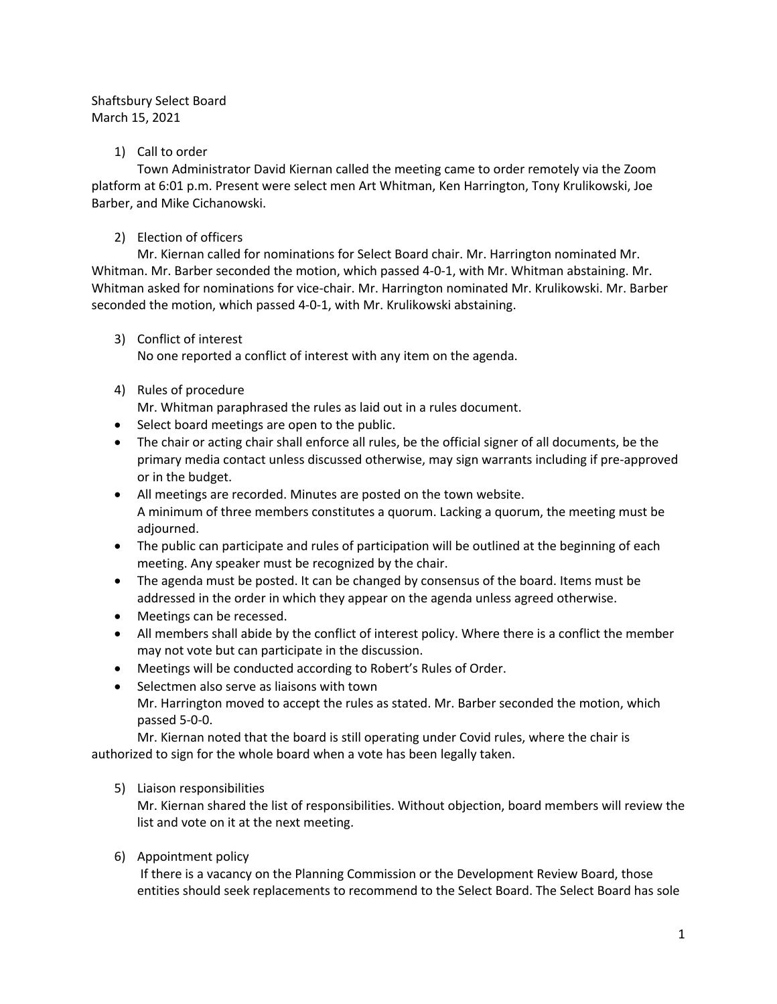# Shaftsbury Select Board March 15, 2021

# 1) Call to order

Town Administrator David Kiernan called the meeting came to order remotely via the Zoom platform at 6:01 p.m. Present were select men Art Whitman, Ken Harrington, Tony Krulikowski, Joe Barber, and Mike Cichanowski.

# 2) Election of officers

Mr. Kiernan called for nominations for Select Board chair. Mr. Harrington nominated Mr. Whitman. Mr. Barber seconded the motion, which passed 4-0-1, with Mr. Whitman abstaining. Mr. Whitman asked for nominations for vice-chair. Mr. Harrington nominated Mr. Krulikowski. Mr. Barber seconded the motion, which passed 4-0-1, with Mr. Krulikowski abstaining.

3) Conflict of interest

No one reported a conflict of interest with any item on the agenda.

## 4) Rules of procedure

Mr. Whitman paraphrased the rules as laid out in a rules document.

- Select board meetings are open to the public.
- The chair or acting chair shall enforce all rules, be the official signer of all documents, be the primary media contact unless discussed otherwise, may sign warrants including if pre-approved or in the budget.
- All meetings are recorded. Minutes are posted on the town website. A minimum of three members constitutes a quorum. Lacking a quorum, the meeting must be adjourned.
- The public can participate and rules of participation will be outlined at the beginning of each meeting. Any speaker must be recognized by the chair.
- The agenda must be posted. It can be changed by consensus of the board. Items must be addressed in the order in which they appear on the agenda unless agreed otherwise.
- Meetings can be recessed.
- All members shall abide by the conflict of interest policy. Where there is a conflict the member may not vote but can participate in the discussion.
- Meetings will be conducted according to Robert's Rules of Order.
- Selectmen also serve as liaisons with town Mr. Harrington moved to accept the rules as stated. Mr. Barber seconded the motion, which passed 5-0-0.

Mr. Kiernan noted that the board is still operating under Covid rules, where the chair is authorized to sign for the whole board when a vote has been legally taken.

5) Liaison responsibilities

Mr. Kiernan shared the list of responsibilities. Without objection, board members will review the list and vote on it at the next meeting.

6) Appointment policy

If there is a vacancy on the Planning Commission or the Development Review Board, those entities should seek replacements to recommend to the Select Board. The Select Board has sole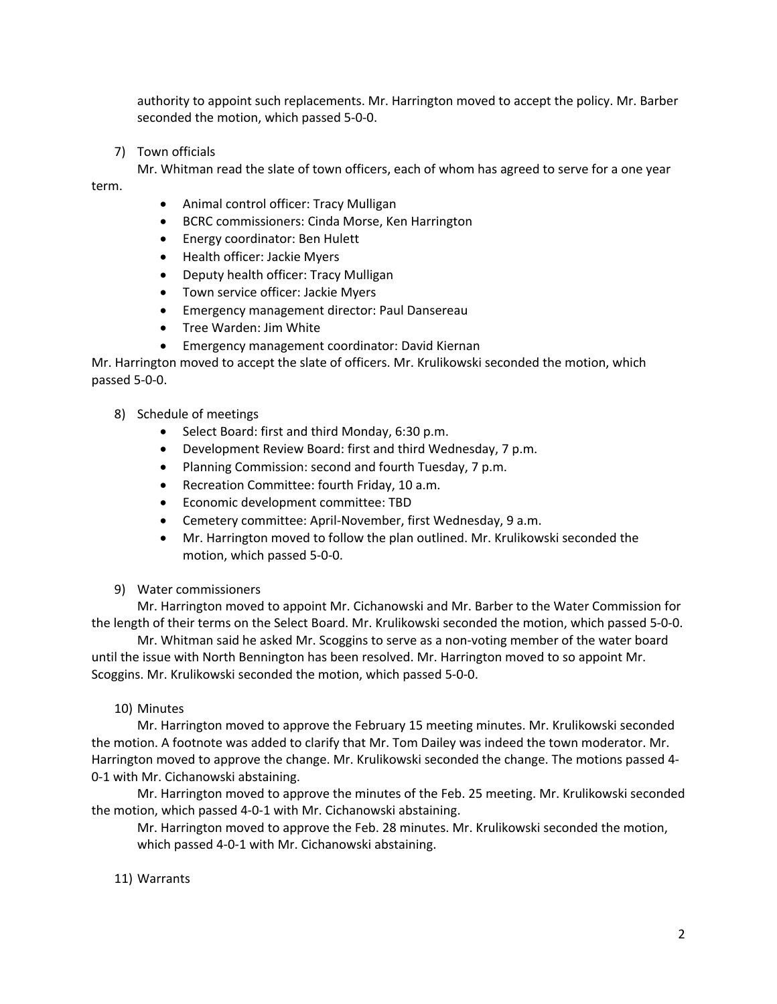authority to appoint such replacements. Mr. Harrington moved to accept the policy. Mr. Barber seconded the motion, which passed 5-0-0.

7) Town officials

Mr. Whitman read the slate of town officers, each of whom has agreed to serve for a one year

term.

- Animal control officer: Tracy Mulligan
- BCRC commissioners: Cinda Morse, Ken Harrington
- Energy coordinator: Ben Hulett
- Health officer: Jackie Myers
- Deputy health officer: Tracy Mulligan
- Town service officer: Jackie Myers
- Emergency management director: Paul Dansereau
- Tree Warden: Jim White
- Emergency management coordinator: David Kiernan

Mr. Harrington moved to accept the slate of officers. Mr. Krulikowski seconded the motion, which passed 5-0-0.

- 8) Schedule of meetings
	- Select Board: first and third Monday, 6:30 p.m.
	- Development Review Board: first and third Wednesday, 7 p.m.
	- Planning Commission: second and fourth Tuesday, 7 p.m.
	- Recreation Committee: fourth Friday, 10 a.m.
	- Economic development committee: TBD
	- Cemetery committee: April-November, first Wednesday, 9 a.m.
	- Mr. Harrington moved to follow the plan outlined. Mr. Krulikowski seconded the motion, which passed 5-0-0.
- 9) Water commissioners

Mr. Harrington moved to appoint Mr. Cichanowski and Mr. Barber to the Water Commission for the length of their terms on the Select Board. Mr. Krulikowski seconded the motion, which passed 5-0-0.

Mr. Whitman said he asked Mr. Scoggins to serve as a non-voting member of the water board until the issue with North Bennington has been resolved. Mr. Harrington moved to so appoint Mr. Scoggins. Mr. Krulikowski seconded the motion, which passed 5-0-0.

### 10) Minutes

Mr. Harrington moved to approve the February 15 meeting minutes. Mr. Krulikowski seconded the motion. A footnote was added to clarify that Mr. Tom Dailey was indeed the town moderator. Mr. Harrington moved to approve the change. Mr. Krulikowski seconded the change. The motions passed 4- 0-1 with Mr. Cichanowski abstaining.

Mr. Harrington moved to approve the minutes of the Feb. 25 meeting. Mr. Krulikowski seconded the motion, which passed 4-0-1 with Mr. Cichanowski abstaining.

Mr. Harrington moved to approve the Feb. 28 minutes. Mr. Krulikowski seconded the motion, which passed 4-0-1 with Mr. Cichanowski abstaining.

11) Warrants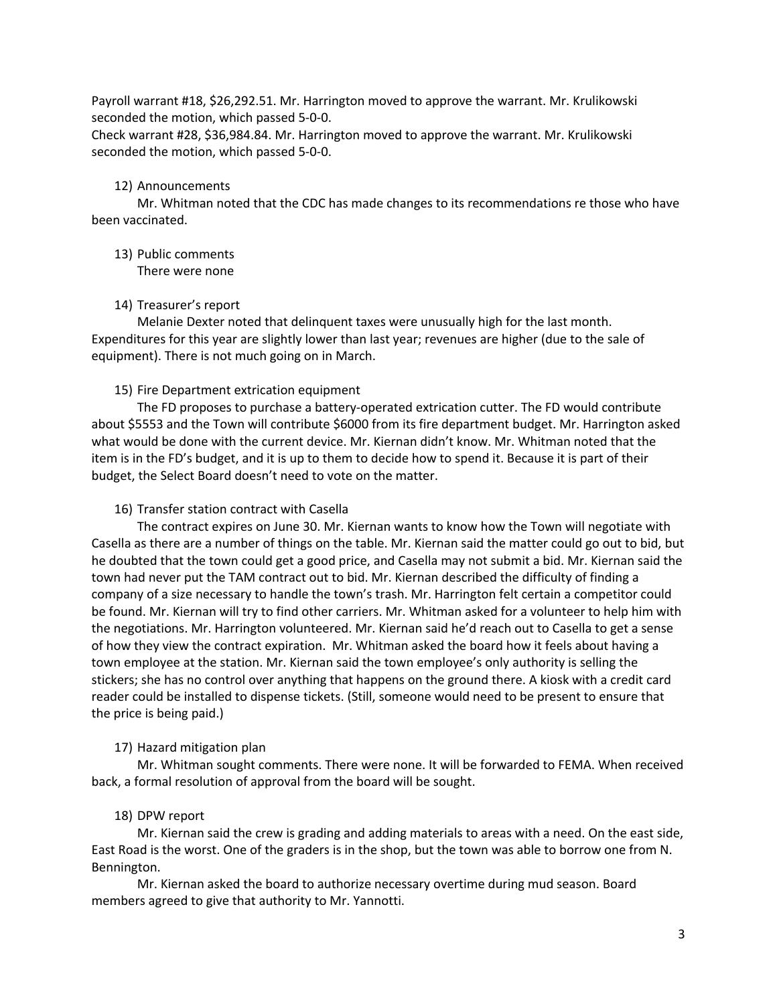Payroll warrant #18, \$26,292.51. Mr. Harrington moved to approve the warrant. Mr. Krulikowski seconded the motion, which passed 5-0-0.

Check warrant #28, \$36,984.84. Mr. Harrington moved to approve the warrant. Mr. Krulikowski seconded the motion, which passed 5-0-0.

#### 12) Announcements

Mr. Whitman noted that the CDC has made changes to its recommendations re those who have been vaccinated.

13) Public comments

There were none

14) Treasurer's report

Melanie Dexter noted that delinquent taxes were unusually high for the last month. Expenditures for this year are slightly lower than last year; revenues are higher (due to the sale of equipment). There is not much going on in March.

### 15) Fire Department extrication equipment

The FD proposes to purchase a battery-operated extrication cutter. The FD would contribute about \$5553 and the Town will contribute \$6000 from its fire department budget. Mr. Harrington asked what would be done with the current device. Mr. Kiernan didn't know. Mr. Whitman noted that the item is in the FD's budget, and it is up to them to decide how to spend it. Because it is part of their budget, the Select Board doesn't need to vote on the matter.

#### 16) Transfer station contract with Casella

The contract expires on June 30. Mr. Kiernan wants to know how the Town will negotiate with Casella as there are a number of things on the table. Mr. Kiernan said the matter could go out to bid, but he doubted that the town could get a good price, and Casella may not submit a bid. Mr. Kiernan said the town had never put the TAM contract out to bid. Mr. Kiernan described the difficulty of finding a company of a size necessary to handle the town's trash. Mr. Harrington felt certain a competitor could be found. Mr. Kiernan will try to find other carriers. Mr. Whitman asked for a volunteer to help him with the negotiations. Mr. Harrington volunteered. Mr. Kiernan said he'd reach out to Casella to get a sense of how they view the contract expiration. Mr. Whitman asked the board how it feels about having a town employee at the station. Mr. Kiernan said the town employee's only authority is selling the stickers; she has no control over anything that happens on the ground there. A kiosk with a credit card reader could be installed to dispense tickets. (Still, someone would need to be present to ensure that the price is being paid.)

#### 17) Hazard mitigation plan

Mr. Whitman sought comments. There were none. It will be forwarded to FEMA. When received back, a formal resolution of approval from the board will be sought.

### 18) DPW report

Mr. Kiernan said the crew is grading and adding materials to areas with a need. On the east side, East Road is the worst. One of the graders is in the shop, but the town was able to borrow one from N. Bennington.

Mr. Kiernan asked the board to authorize necessary overtime during mud season. Board members agreed to give that authority to Mr. Yannotti.